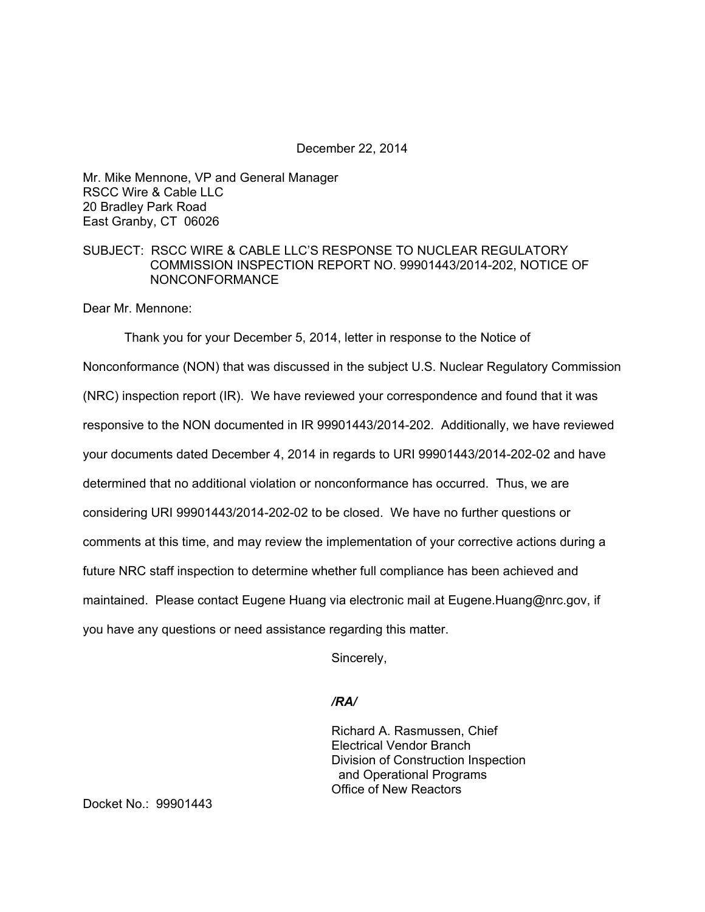#### December 22, 2014

Mr. Mike Mennone, VP and General Manager RSCC Wire & Cable LLC 20 Bradley Park Road East Granby, CT 06026

# SUBJECT: RSCC WIRE & CABLE LLC'S RESPONSE TO NUCLEAR REGULATORY COMMISSION INSPECTION REPORT NO. 99901443/2014-202, NOTICE OF NONCONFORMANCE

Dear Mr. Mennone:

Thank you for your December 5, 2014, letter in response to the Notice of Nonconformance (NON) that was discussed in the subject U.S. Nuclear Regulatory Commission (NRC) inspection report (IR). We have reviewed your correspondence and found that it was responsive to the NON documented in IR 99901443/2014-202. Additionally, we have reviewed your documents dated December 4, 2014 in regards to URI 99901443/2014-202-02 and have determined that no additional violation or nonconformance has occurred. Thus, we are considering URI 99901443/2014-202-02 to be closed. We have no further questions or comments at this time, and may review the implementation of your corrective actions during a future NRC staff inspection to determine whether full compliance has been achieved and maintained. Please contact Eugene Huang via electronic mail at Eugene.Huang@nrc.gov, if you have any questions or need assistance regarding this matter.

Sincerely,

# */RA/*

Richard A. Rasmussen, Chief Electrical Vendor Branch Division of Construction Inspection and Operational Programs Office of New Reactors

Docket No.: 99901443